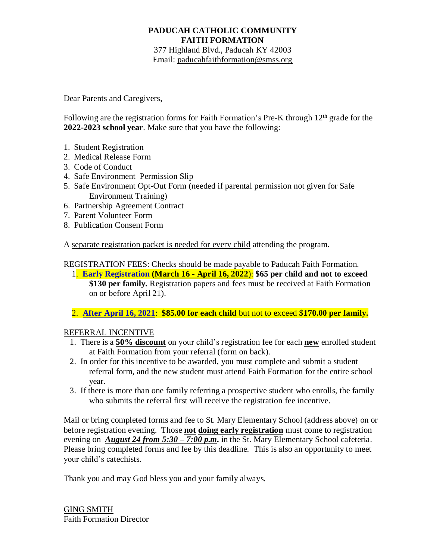## **PADUCAH CATHOLIC COMMUNITY FAITH FORMATION**

377 Highland Blvd., Paducah KY 42003 Email: [paducahfaithformation@smss.org](mailto:paducahfaithformation@smss.org)

Dear Parents and Caregivers,

Following are the registration forms for Faith Formation's Pre-K through  $12<sup>th</sup>$  grade for the **2022-2023 school year**. Make sure that you have the following:

- 1. Student Registration
- 2. Medical Release Form
- 3. Code of Conduct
- 4. Safe Environment Permission Slip
- 5. Safe Environment Opt-Out Form (needed if parental permission not given for Safe Environment Training)
- 6. Partnership Agreement Contract
- 7. Parent Volunteer Form
- 8. Publication Consent Form

A separate registration packet is needed for every child attending the program.

REGISTRATION FEES: Checks should be made payable to Paducah Faith Formation.

 1. **Early Registration (March 16 - April 16, 2022**): **\$65 per child and not to exceed \$130 per family.** Registration papers and fees must be received at Faith Formation on or before April 21).

2. **After April 16, 2021**: **\$85.00 for each child** but not to exceed \$**170.00 per family.** 

## REFERRAL INCENTIVE

- 1. There is a **50% discount** on your child's registration fee for each **new** enrolled student at Faith Formation from your referral (form on back).
- 2. In order for this incentive to be awarded, you must complete and submit a student referral form, and the new student must attend Faith Formation for the entire school year.
- 3. If there is more than one family referring a prospective student who enrolls, the family who submits the referral first will receive the registration fee incentive.

Mail or bring completed forms and fee to St. Mary Elementary School (address above) on or before registration evening. Those **not doing early registration** must come to registration evening on *August 24 from 5:30 – 7:00 p.m.* in the St. Mary Elementary School cafeteria. Please bring completed forms and fee by this deadline. This is also an opportunity to meet your child's catechists.

Thank you and may God bless you and your family always.

GING SMITH Faith Formation Director